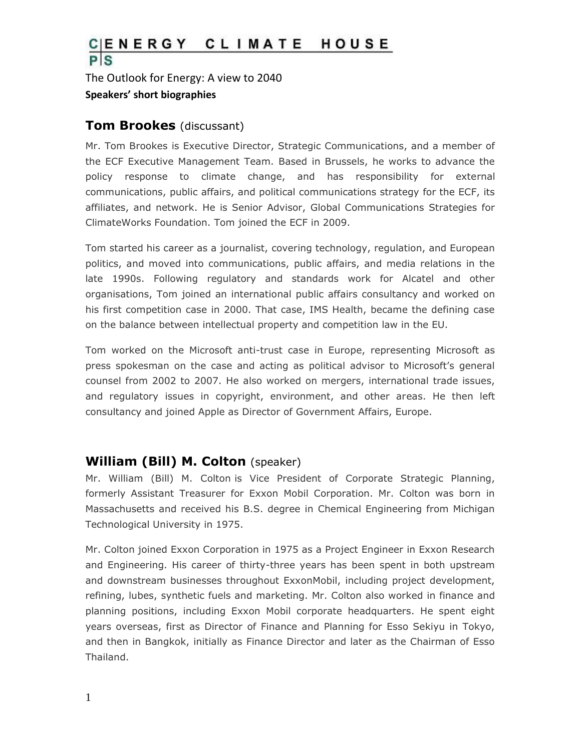#### $\frac{C|ENERGY}{P|S}$ CLIMATE HOUSE

The Outlook for Energy: A view to 2040 **Speakers' short biographies**

#### **Tom Brookes** (discussant)

Mr. Tom Brookes is Executive Director, Strategic Communications, and a member of the ECF Executive Management Team. Based in Brussels, he works to advance the policy response to climate change, and has responsibility for external communications, public affairs, and political communications strategy for the ECF, its affiliates, and network. He is Senior Advisor, Global Communications Strategies for ClimateWorks Foundation. Tom joined the ECF in 2009.

Tom started his career as a journalist, covering technology, regulation, and European politics, and moved into communications, public affairs, and media relations in the late 1990s. Following regulatory and standards work for Alcatel and other organisations, Tom joined an international public affairs consultancy and worked on his first competition case in 2000. That case, IMS Health, became the defining case on the balance between intellectual property and competition law in the EU.

Tom worked on the Microsoft anti-trust case in Europe, representing Microsoft as press spokesman on the case and acting as political advisor to Microsoft's general counsel from 2002 to 2007. He also worked on mergers, international trade issues, and regulatory issues in copyright, environment, and other areas. He then left consultancy and joined Apple as Director of Government Affairs, Europe.

#### **William (Bill) M. Colton** (speaker)

Mr. William (Bill) M. Colton is Vice President of Corporate Strategic Planning, formerly Assistant Treasurer for Exxon Mobil Corporation. Mr. Colton was born in Massachusetts and received his B.S. degree in Chemical Engineering from Michigan Technological University in 1975.

Mr. Colton joined Exxon Corporation in 1975 as a Project Engineer in Exxon Research and Engineering. His career of thirty-three years has been spent in both upstream and downstream businesses throughout ExxonMobil, including project development, refining, lubes, synthetic fuels and marketing. Mr. Colton also worked in finance and planning positions, including Exxon Mobil corporate headquarters. He spent eight years overseas, first as Director of Finance and Planning for Esso Sekiyu in Tokyo, and then in Bangkok, initially as Finance Director and later as the Chairman of Esso Thailand.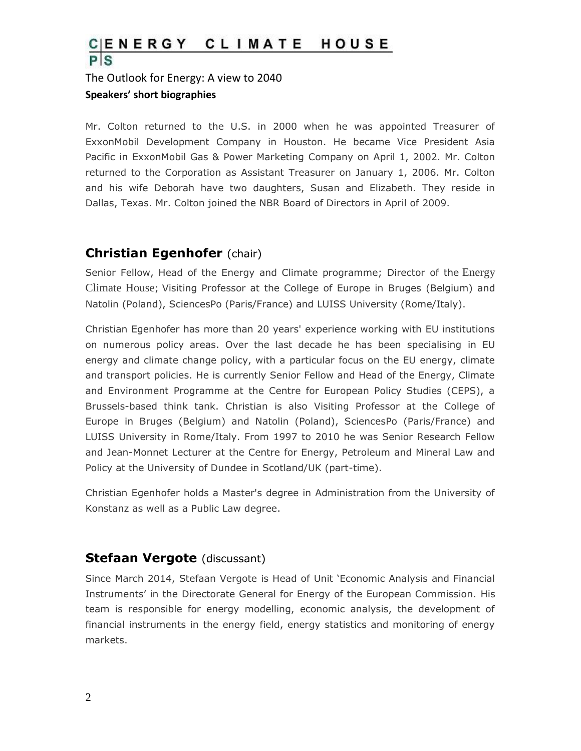# $\frac{C|E N E R G Y}{P|S}$ CLIMATE HOUSE

### The Outlook for Energy: A view to 2040 **Speakers' short biographies**

Mr. Colton returned to the U.S. in 2000 when he was appointed Treasurer of ExxonMobil Development Company in Houston. He became Vice President Asia Pacific in ExxonMobil Gas & Power Marketing Company on April 1, 2002. Mr. Colton returned to the Corporation as Assistant Treasurer on January 1, 2006. Mr. Colton and his wife Deborah have two daughters, Susan and Elizabeth. They reside in Dallas, Texas. Mr. Colton joined the NBR Board of Directors in April of 2009.

## **Christian Egenhofer** (chair)

Senior Fellow, Head of the Energy and Climate programme; Director of the [Energy](http://www.ceps.eu/content/energy-climate-house)  [Climate House](http://www.ceps.eu/content/energy-climate-house); Visiting Professor at the College of Europe in Bruges (Belgium) and Natolin (Poland), SciencesPo (Paris/France) and LUISS University (Rome/Italy).

Christian Egenhofer has more than 20 years' experience working with EU institutions on numerous policy areas. Over the last decade he has been specialising in EU energy and climate change policy, with a particular focus on the EU energy, climate and transport policies. He is currently Senior Fellow and Head of the Energy, Climate and Environment Programme at the Centre for European Policy Studies (CEPS), a Brussels-based think tank. Christian is also Visiting Professor at the College of Europe in Bruges (Belgium) and Natolin (Poland), SciencesPo (Paris/France) and LUISS University in Rome/Italy. From 1997 to 2010 he was Senior Research Fellow and Jean-Monnet Lecturer at the Centre for Energy, Petroleum and Mineral Law and Policy at the University of Dundee in Scotland/UK (part-time).

Christian Egenhofer holds a Master's degree in Administration from the University of Konstanz as well as a Public Law degree.

#### **Stefaan Vergote** (discussant)

Since March 2014, Stefaan Vergote is Head of Unit 'Economic Analysis and Financial Instruments' in the Directorate General for Energy of the European Commission. His team is responsible for energy modelling, economic analysis, the development of financial instruments in the energy field, energy statistics and monitoring of energy markets.